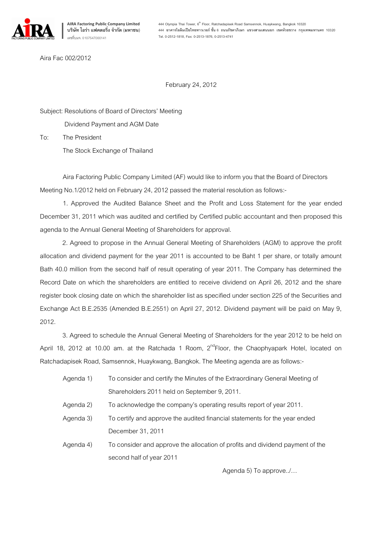

Aira Fac 002/2012

February 24, 2012

Subject: Resolutions of Board of Directors' Meeting

Dividend Payment and AGM Date

To: The President

The Stock Exchange of Thailand

Aira Factoring Public Company Limited (AF) would like to inform you that the Board of Directors Meeting No.1/2012 held on February 24, 2012 passed the material resolution as follows:-

1. Approved the Audited Balance Sheet and the Profit and Loss Statement for the year ended December 31, 2011 which was audited and certified by Certified public accountant and then proposed this agenda to the Annual General Meeting of Shareholders for approval.

2. Agreed to propose in the Annual General Meeting of Shareholders (AGM) to approve the profit allocation and dividend payment for the year 2011 is accounted to be Baht 1 per share, or totally amount Bath 40.0 million from the second half of result operating of year 2011. The Company has determined the Record Date on which the shareholders are entitled to receive dividend on April 26, 2012 and the share register book closing date on which the shareholder list as specified under section 225 of the Securities and Exchange Act B.E.2535 (Amended B.E.2551) on April 27, 2012. Dividend payment will be paid on May 9, 2012.

3. Agreed to schedule the Annual General Meeting of Shareholders for the year 2012 to be held on April 18, 2012 at 10.00 am. at the Ratchada 1 Room,  $2^{nd}$ Floor, the Chaophyapark Hotel, located on Ratchadapisek Road, Samsennok, Huaykwang, Bangkok. The Meeting agenda are as follows:-

- Agenda 1) To consider and certify the Minutes of the Extraordinary General Meeting of Shareholders 2011 held on September 9, 2011.
- Agenda 2) To acknowledge the company's operating results report of year 2011.
- Agenda 3) To certify and approve the audited financial statements for the year ended December 31, 2011
- Agenda 4) To consider and approve the allocation of profits and dividend payment of the second half of year 2011

Agenda 5) To approve../...